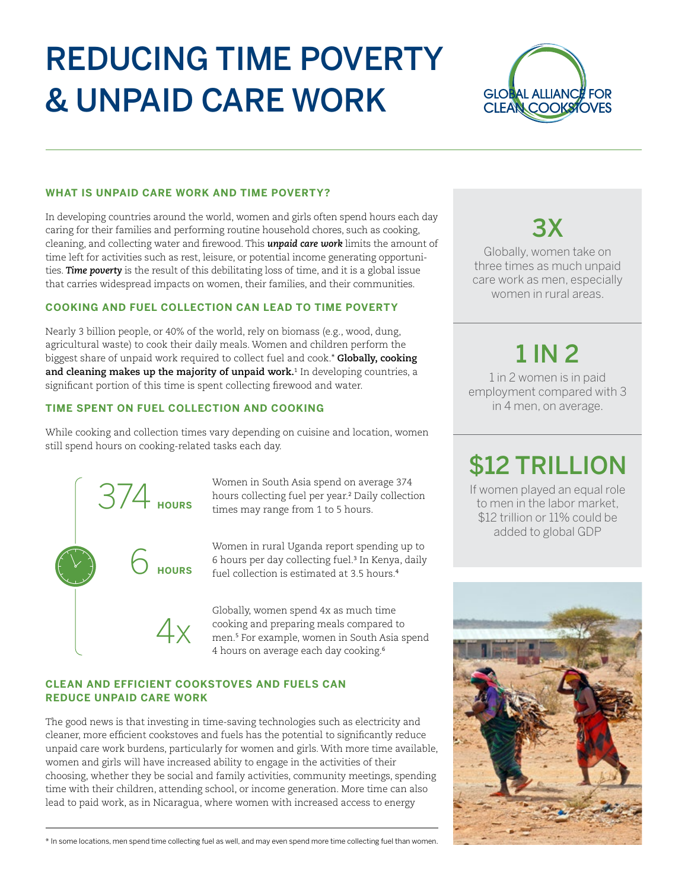# REDUCING TIME POVERTY & UNPAID CARE WORK



#### **WHAT IS UNPAID CARE WORK AND TIME POVERTY?**

In developing countries around the world, women and girls often spend hours each day caring for their families and performing routine household chores, such as cooking, cleaning, and collecting water and firewood. This *unpaid care work* limits the amount of time left for activities such as rest, leisure, or potential income generating opportunities. *Time poverty* is the result of this debilitating loss of time, and it is a global issue that carries widespread impacts on women, their families, and their communities.

### **COOKING AND FUEL COLLECTION CAN LEAD TO TIME POVERTY**

Nearly 3 billion people, or 40% of the world, rely on biomass (e.g., wood, dung, agricultural waste) to cook their daily meals. Women and children perform the biggest share of unpaid work required to collect fuel and cook.\* **Globally, cooking**  and cleaning makes up the majority of unpaid work.<sup>1</sup> In developing countries, a significant portion of this time is spent collecting firewood and water.

### **TIME SPENT ON FUEL COLLECTION AND COOKING**

While cooking and collection times vary depending on cuisine and location, women still spend hours on cooking-related tasks each day.



Women in South Asia spend on average 374 hours collecting fuel per year.<sup>2</sup> Daily collection times may range from 1 to 5 hours.

Women in rural Uganda report spending up to 6 hours per day collecting fuel.<sup>3</sup> In Kenya, daily fuel collection is estimated at 3.5 hours.<sup>4</sup>

Globally, women spend 4x as much time cooking and preparing meals compared to men.<sup>5</sup> For example, women in South Asia spend 4 hours on average each day cooking.<sup>6</sup>

### **CLEAN AND EFFICIENT COOKSTOVES AND FUELS CAN REDUCE UNPAID CARE WORK**

The good news is that investing in time-saving technologies such as electricity and cleaner, more efficient cookstoves and fuels has the potential to significantly reduce unpaid care work burdens, particularly for women and girls. With more time available, women and girls will have increased ability to engage in the activities of their choosing, whether they be social and family activities, community meetings, spending time with their children, attending school, or income generation. More time can also lead to paid work, as in Nicaragua, where women with increased access to energy

\* In some locations, men spend time collecting fuel as well, and may even spend more time collecting fuel than women.

## 3X

Globally, women take on three times as much unpaid care work as men, especially women in rural areas.

### 1 IN 2

1 in 2 women is in paid employment compared with 3 in 4 men, on average.

### \$12 TRILLION

If women played an equal role to men in the labor market, \$12 trillion or 11% could be added to global GDP